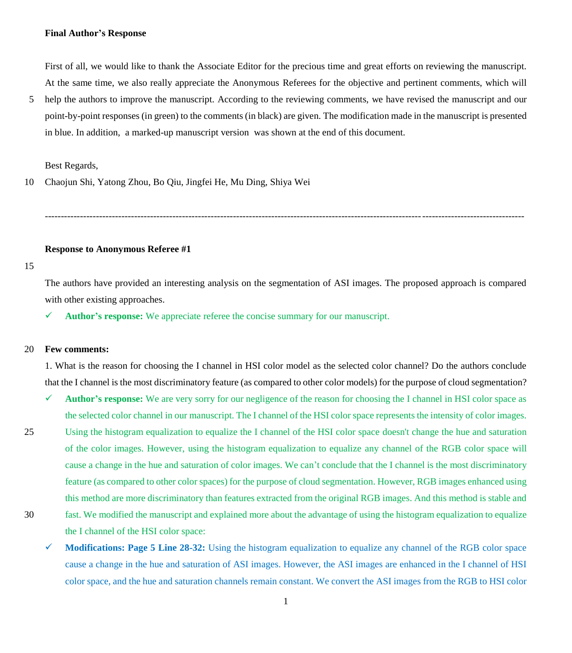## **Final Author's Response**

First of all, we would like to thank the Associate Editor for the precious time and great efforts on reviewing the manuscript. At the same time, we also really appreciate the Anonymous Referees for the objective and pertinent comments, which will

5 help the authors to improve the manuscript. According to the reviewing comments, we have revised the manuscript and our point-by-point responses (in green) to the comments (in black) are given. The modification made in the manuscript is presented in blue. In addition, a marked-up manuscript version was shown at the end of this document.

Best Regards,

10 Chaojun Shi, Yatong Zhou, Bo Qiu, Jingfei He, Mu Ding, Shiya Wei

------------------------------------------------------------------------------------------------------------------------------------------------------

## **Response to Anonymous Referee #1**

15

The authors have provided an interesting analysis on the segmentation of ASI images. The proposed approach is compared with other existing approaches.

✓ **Author's response:** We appreciate referee the concise summary for our manuscript.

#### 20 **Few comments:**

1. What is the reason for choosing the I channel in HSI color model as the selected color channel? Do the authors conclude that the I channel is the most discriminatory feature (as compared to other color models) for the purpose of cloud segmentation?

 $\checkmark$  **Author's response:** We are very sorry for our negligence of the reason for choosing the I channel in HSI color space as the selected color channel in our manuscript. The I channel of the HSI color space represents the intensity of color images. 25 Using the histogram equalization to equalize the I channel of the HSI color space doesn't change the hue and saturation of the color images. However, using the histogram equalization to equalize any channel of the RGB color space will cause a change in the hue and saturation of color images. We can't conclude that the I channel is the most discriminatory

feature (as compared to other color spaces) for the purpose of cloud segmentation. However, RGB images enhanced using

30 fast. We modified the manuscript and explained more about the advantage of using the histogram equalization to equalize the I channel of the HSI color space:

this method are more discriminatory than features extracted from the original RGB images. And this method is stable and

✓ **Modifications: Page 5 Line 28-32:** Using the histogram equalization to equalize any channel of the RGB color space cause a change in the hue and saturation of ASI images. However, the ASI images are enhanced in the I channel of HSI color space, and the hue and saturation channels remain constant. We convert the ASI images from the RGB to HSI color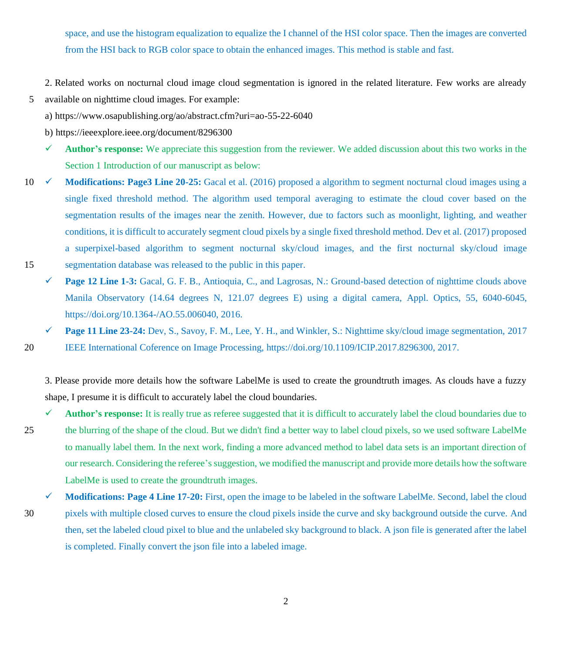space, and use the histogram equalization to equalize the I channel of the HSI color space. Then the images are converted from the HSI back to RGB color space to obtain the enhanced images. This method is stable and fast.

- 2. Related works on nocturnal cloud image cloud segmentation is ignored in the related literature. Few works are already
- 5 available on nighttime cloud images. For example:

a) https://www.osapublishing.org/ao/abstract.cfm?uri=ao-55-22-6040

- b) https://ieeexplore.ieee.org/document/8296300
- $\checkmark$  **Author's response:** We appreciate this suggestion from the reviewer. We added discussion about this two works in the Section 1 Introduction of our manuscript as below:
- 10 ✓ **Modifications: Page3 Line 20-25:** Gacal et al. (2016) proposed a algorithm to segment nocturnal cloud images using a single fixed threshold method. The algorithm used temporal averaging to estimate the cloud cover based on the segmentation results of the images near the zenith. However, due to factors such as moonlight, lighting, and weather conditions, it is difficult to accurately segment cloud pixels by a single fixed threshold method. Dev et al. (2017) proposed a superpixel-based algorithm to segment nocturnal sky/cloud images, and the first nocturnal sky/cloud image 15 segmentation database was released to the public in this paper.
	- ✓ **Page 12 Line 1-3:** Gacal, G. F. B., Antioquia, C., and Lagrosas, N.: Ground-based detection of nighttime clouds above Manila Observatory (14.64 degrees N, 121.07 degrees E) using a digital camera, Appl. Optics, 55, 6040-6045, https://doi.org/10.1364-/AO.55.006040, 2016.
- ✓ **Page 11 Line 23-24:** Dev, S., Savoy, F. M., Lee, Y. H., and Winkler, S.: Nighttime sky/cloud image segmentation, 2017 20 IEEE International Coference on Image Processing, https://doi.org/10.1109/ICIP.2017.8296300, 2017.

3. Please provide more details how the software LabelMe is used to create the groundtruth images. As clouds have a fuzzy shape, I presume it is difficult to accurately label the cloud boundaries.

- ✓ **Author's response:** It is really true as referee suggested that it is difficult to accurately label the cloud boundaries due to 25 the blurring of the shape of the cloud. But we didn't find a better way to label cloud pixels, so we used software LabelMe to manually label them. In the next work, finding a more advanced method to label data sets is an important direction of our research. Considering the referee's suggestion, we modified the manuscript and provide more details how the software LabelMe is used to create the groundtruth images.
- ✓ **Modifications: Page 4 Line 17-20:** First, open the image to be labeled in the software LabelMe. Second, label the cloud 30 pixels with multiple closed curves to ensure the cloud pixels inside the curve and sky background outside the curve. And then, set the labeled cloud pixel to blue and the unlabeled sky background to black. A json file is generated after the label is completed. Finally convert the json file into a labeled image.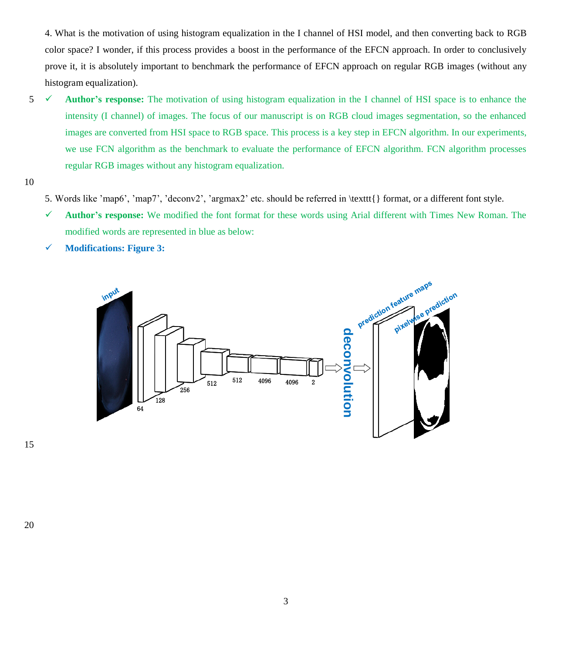4. What is the motivation of using histogram equalization in the I channel of HSI model, and then converting back to RGB color space? I wonder, if this process provides a boost in the performance of the EFCN approach. In order to conclusively prove it, it is absolutely important to benchmark the performance of EFCN approach on regular RGB images (without any histogram equalization).

- 5 ✓ **Author's response:** The motivation of using histogram equalization in the I channel of HSI space is to enhance the intensity (I channel) of images. The focus of our manuscript is on RGB cloud images segmentation, so the enhanced images are converted from HSI space to RGB space. This process is a key step in EFCN algorithm. In our experiments, we use FCN algorithm as the benchmark to evaluate the performance of EFCN algorithm. FCN algorithm processes regular RGB images without any histogram equalization.
- 10
- 5. Words like 'map6', 'map7', 'deconv2', 'argmax2' etc. should be referred in \texttt{} format, or a different font style.
- ✓ **Author's response:** We modified the font format for these words using Arial different with Times New Roman. The modified words are represented in blue as below:
- ✓ **Modifications: Figure 3:**



15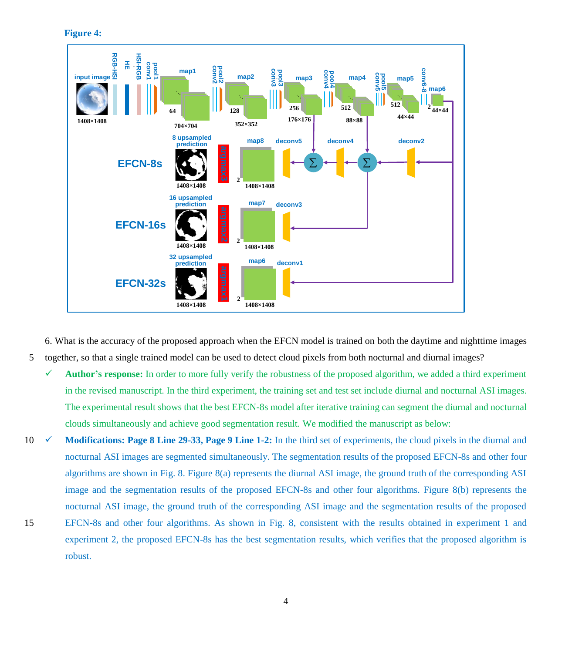**Figure 4:**



6. What is the accuracy of the proposed approach when the EFCN model is trained on both the daytime and nighttime images

- 5 together, so that a single trained model can be used to detect cloud pixels from both nocturnal and diurnal images?
	- $\checkmark$  **Author's response:** In order to more fully verify the robustness of the proposed algorithm, we added a third experiment in the revised manuscript. In the third experiment, the training set and test set include diurnal and nocturnal ASI images. The experimental result shows that the best EFCN-8s model after iterative training can segment the diurnal and nocturnal clouds simultaneously and achieve good segmentation result. We modified the manuscript as below:
- 10 ✓ **Modifications: Page 8 Line 29-33, Page 9 Line 1-2:** In the third set of experiments, the cloud pixels in the diurnal and nocturnal ASI images are segmented simultaneously. The segmentation results of the proposed EFCN-8s and other four algorithms are shown in Fig. 8. Figure 8(a) represents the diurnal ASI image, the ground truth of the corresponding ASI image and the segmentation results of the proposed EFCN-8s and other four algorithms. Figure 8(b) represents the nocturnal ASI image, the ground truth of the corresponding ASI image and the segmentation results of the proposed 15 EFCN-8s and other four algorithms. As shown in Fig. 8, consistent with the results obtained in experiment 1 and experiment 2, the proposed EFCN-8s has the best segmentation results, which verifies that the proposed algorithm is robust.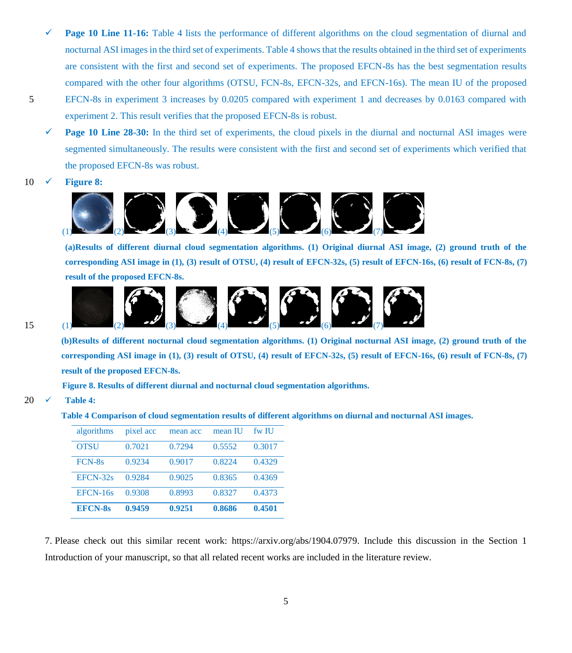- ✓ **Page 10 Line 11-16:** Table 4 lists the performance of different algorithms on the cloud segmentation of diurnal and nocturnal ASI images in the third set of experiments. Table 4 shows that the results obtained in the third set of experiments are consistent with the first and second set of experiments. The proposed EFCN-8s has the best segmentation results compared with the other four algorithms (OTSU, FCN-8s, EFCN-32s, and EFCN-16s). The mean IU of the proposed
- 

5 EFCN-8s in experiment 3 increases by 0.0205 compared with experiment 1 and decreases by 0.0163 compared with experiment 2. This result verifies that the proposed EFCN-8s is robust.

✓ **Page 10 Line 28-30:** In the third set of experiments, the cloud pixels in the diurnal and nocturnal ASI images were segmented simultaneously. The results were consistent with the first and second set of experiments which verified that the proposed EFCN-8s was robust.

10 ✓ **Figure 8:**



**(a)Results of different diurnal cloud segmentation algorithms. (1) Original diurnal ASI image, (2) ground truth of the corresponding ASI image in (1), (3) result of OTSU, (4) result of EFCN-32s, (5) result of EFCN-16s, (6) result of FCN-8s, (7) result of the proposed EFCN-8s.**



**(b)Results of different nocturnal cloud segmentation algorithms. (1) Original nocturnal ASI image, (2) ground truth of the corresponding ASI image in (1), (3) result of OTSU, (4) result of EFCN-32s, (5) result of EFCN-16s, (6) result of FCN-8s, (7) result of the proposed EFCN-8s.**

**Figure 8. Results of different diurnal and nocturnal cloud segmentation algorithms.**

20 ✓ **Table 4:**

**Table 4 Comparison of cloud segmentation results of different algorithms on diurnal and nocturnal ASI images.**

| algorithms     | pixel acc | mean acc | mean IU | fw IU  |
|----------------|-----------|----------|---------|--------|
| <b>OTSU</b>    | 0.7021    | 0.7294   | 0.5552  | 0.3017 |
| FCN-8s         | 0.9234    | 0.9017   | 0.8224  | 0.4329 |
| EFCN-32s       | 0.9284    | 0.9025   | 0.8365  | 0.4369 |
| EFCN-16s       | 0.9308    | 0.8993   | 0.8327  | 0.4373 |
| <b>EFCN-8s</b> | 0.9459    | 0.9251   | 0.8686  | 0.4501 |

7. Please check out this similar recent work: https://arxiv.org/abs/1904.07979. Include this discussion in the Section 1 Introduction of your manuscript, so that all related recent works are included in the literature review.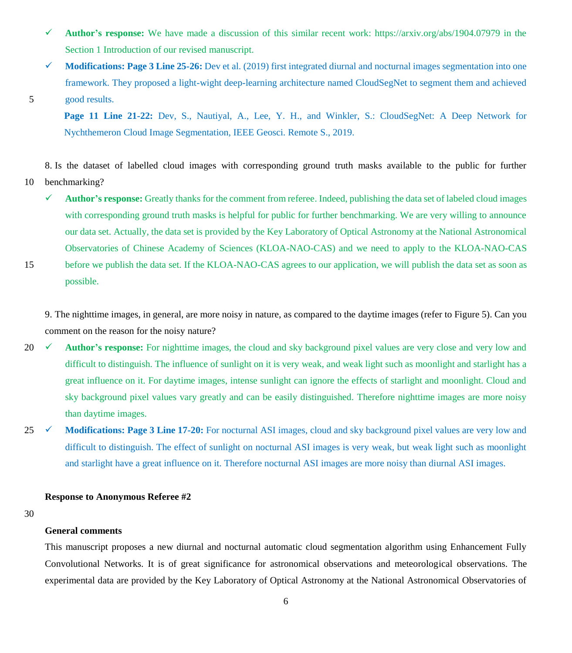- ✓ **Author's response:** We have made a discussion of this similar recent work: https://arxiv.org/abs/1904.07979 in the Section 1 Introduction of our revised manuscript.
- $\checkmark$  **Modifications: Page 3 Line 25-26:** Dev et al. (2019) first integrated diurnal and nocturnal images segmentation into one framework. They proposed a light-wight deep-learning architecture named CloudSegNet to segment them and achieved 5 good results.
	- **Page 11 Line 21-22:** Dev, S., Nautiyal, A., Lee, Y. H., and Winkler, S.: CloudSegNet: A Deep Network for Nychthemeron Cloud Image Segmentation, IEEE Geosci. Remote S., 2019.

8. Is the dataset of labelled cloud images with corresponding ground truth masks available to the public for further 10 benchmarking?

- ✓ **Author's response:** Greatly thanks for the comment from referee. Indeed, publishing the data set of labeled cloud images with corresponding ground truth masks is helpful for public for further benchmarking. We are very willing to announce our data set. Actually, the data set is provided by the Key Laboratory of Optical Astronomy at the National Astronomical Observatories of Chinese Academy of Sciences (KLOA-NAO-CAS) and we need to apply to the KLOA-NAO-CAS
- 15 before we publish the data set. If the KLOA-NAO-CAS agrees to our application, we will publish the data set as soon as possible.

9. The nighttime images, in general, are more noisy in nature, as compared to the daytime images (refer to Figure 5). Can you comment on the reason for the noisy nature?

- 20 **✓ Author's response:** For nighttime images, the cloud and sky background pixel values are very close and very low and difficult to distinguish. The influence of sunlight on it is very weak, and weak light such as moonlight and starlight has a great influence on it. For daytime images, intense sunlight can ignore the effects of starlight and moonlight. Cloud and sky background pixel values vary greatly and can be easily distinguished. Therefore nighttime images are more noisy than daytime images.
- 25 ✓ **Modifications: Page 3 Line 17-20:** For nocturnal ASI images, cloud and sky background pixel values are very low and difficult to distinguish. The effect of sunlight on nocturnal ASI images is very weak, but weak light such as moonlight and starlight have a great influence on it. Therefore nocturnal ASI images are more noisy than diurnal ASI images.

## **Response to Anonymous Referee #2**

#### 30

## **General comments**

This manuscript proposes a new diurnal and nocturnal automatic cloud segmentation algorithm using Enhancement Fully Convolutional Networks. It is of great significance for astronomical observations and meteorological observations. The experimental data are provided by the Key Laboratory of Optical Astronomy at the National Astronomical Observatories of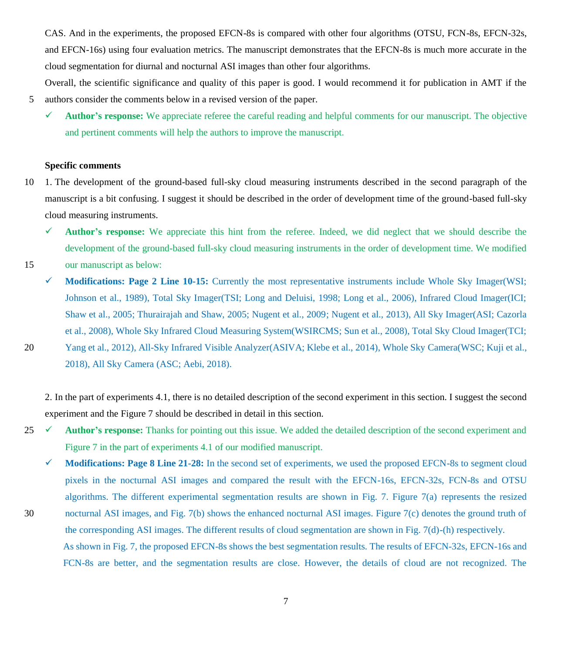CAS. And in the experiments, the proposed EFCN-8s is compared with other four algorithms (OTSU, FCN-8s, EFCN-32s, and EFCN-16s) using four evaluation metrics. The manuscript demonstrates that the EFCN-8s is much more accurate in the cloud segmentation for diurnal and nocturnal ASI images than other four algorithms.

Overall, the scientific significance and quality of this paper is good. I would recommend it for publication in AMT if the 5 authors consider the comments below in a revised version of the paper.

 $\checkmark$  **Author's response:** We appreciate referee the careful reading and helpful comments for our manuscript. The objective and pertinent comments will help the authors to improve the manuscript.

## **Specific comments**

- 10 1. The development of the ground-based full-sky cloud measuring instruments described in the second paragraph of the manuscript is a bit confusing. I suggest it should be described in the order of development time of the ground-based full-sky cloud measuring instruments.
- ✓ **Author's response:** We appreciate this hint from the referee. Indeed, we did neglect that we should describe the development of the ground-based full-sky cloud measuring instruments in the order of development time. We modified 15 our manuscript as below:
	- ✓ **Modifications: Page 2 Line 10-15:** Currently the most representative instruments include Whole Sky Imager(WSI; Johnson et al., 1989), Total Sky Imager(TSI; Long and Deluisi, 1998; Long et al., 2006), Infrared Cloud Imager(ICI; Shaw et al., 2005; Thurairajah and Shaw, 2005; Nugent et al., 2009; Nugent et al., 2013), All Sky Imager(ASI; Cazorla et al., 2008), Whole Sky Infrared Cloud Measuring System(WSIRCMS; Sun et al., 2008), Total Sky Cloud Imager(TCI;
- 20 Yang et al., 2012), All-Sky Infrared Visible Analyzer(ASIVA; Klebe et al., 2014), Whole Sky Camera(WSC; Kuji et al., 2018), All Sky Camera (ASC; Aebi, 2018).

2. In the part of experiments 4.1, there is no detailed description of the second experiment in this section. I suggest the second experiment and the Figure 7 should be described in detail in this section.

25 **✓ Author's response:** Thanks for pointing out this issue. We added the detailed description of the second experiment and Figure 7 in the part of experiments 4.1 of our modified manuscript.

✓ **Modifications: Page 8 Line 21-28:** In the second set of experiments, we used the proposed EFCN-8s to segment cloud pixels in the nocturnal ASI images and compared the result with the EFCN-16s, EFCN-32s, FCN-8s and OTSU algorithms. The different experimental segmentation results are shown in Fig. 7. Figure 7(a) represents the resized

30 nocturnal ASI images, and Fig. 7(b) shows the enhanced nocturnal ASI images. Figure 7(c) denotes the ground truth of the corresponding ASI images. The different results of cloud segmentation are shown in Fig. 7(d)-(h) respectively. As shown in Fig. 7, the proposed EFCN-8s shows the best segmentation results. The results of EFCN-32s, EFCN-16s and FCN-8s are better, and the segmentation results are close. However, the details of cloud are not recognized. The

7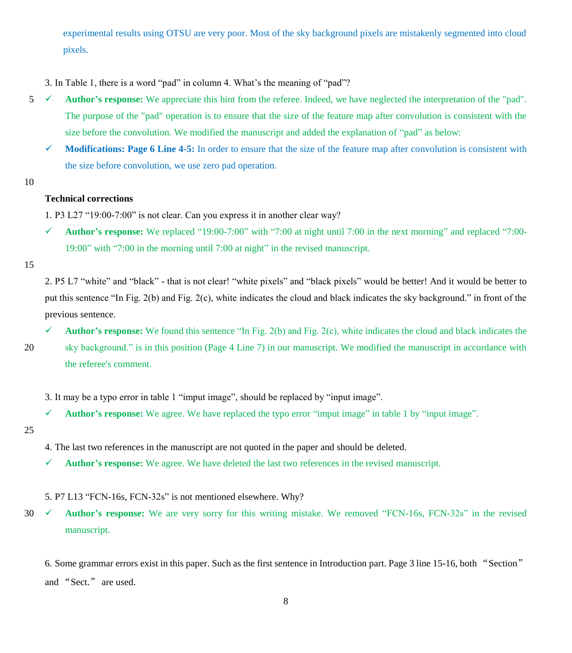experimental results using OTSU are very poor. Most of the sky background pixels are mistakenly segmented into cloud pixels.

3. In Table 1, there is a word "pad" in column 4. What's the meaning of "pad"?

- 5 ✓ **Author's response:** We appreciate this hint from the referee. Indeed, we have neglected the interpretation of the "pad". The purpose of the "pad" operation is to ensure that the size of the feature map after convolution is consistent with the size before the convolution. We modified the manuscript and added the explanation of "pad" as below:
	- $\checkmark$  **Modifications: Page 6 Line 4-5:** In order to ensure that the size of the feature map after convolution is consistent with the size before convolution, we use zero pad operation.
- 10

# **Technical corrections**

1. P3 L27 "19:00-7:00" is not clear. Can you express it in another clear way?

✓ **Author's response:** We replaced "19:00-7:00" with "7:00 at night until 7:00 in the next morning" and replaced "7:00- 19:00" with "7:00 in the morning until 7:00 at night" in the revised manuscript.

15

2. P5 L7 "white" and "black" - that is not clear! "white pixels" and "black pixels" would be better! And it would be better to put this sentence "In Fig. 2(b) and Fig. 2(c), white indicates the cloud and black indicates the sky background." in front of the previous sentence.

 $\checkmark$  **Author's response:** We found this sentence "In Fig. 2(b) and Fig. 2(c), white indicates the cloud and black indicates the 20 sky background." is in this position (Page 4 Line 7) in our manuscript. We modified the manuscript in accordance with the referee's comment.

3. It may be a typo error in table 1 "imput image", should be replaced by "input image".

- ✓ **Author's response:** We agree. We have replaced the typo error "imput image" in table 1 by "input image".
- 25
- 4. The last two references in the manuscript are not quoted in the paper and should be deleted.
- ✓ **Author's response:** We agree. We have deleted the last two references in the revised manuscript.

5. P7 L13 "FCN-16s, FCN-32s" is not mentioned elsewhere. Why?

30 ✓ **Author's response:** We are very sorry for this writing mistake. We removed "FCN-16s, FCN-32s" in the revised manuscript.

6. Some grammar errors exist in this paper. Such as the first sentence in Introduction part. Page 3 line 15-16, both "Section" and "Sect." are used.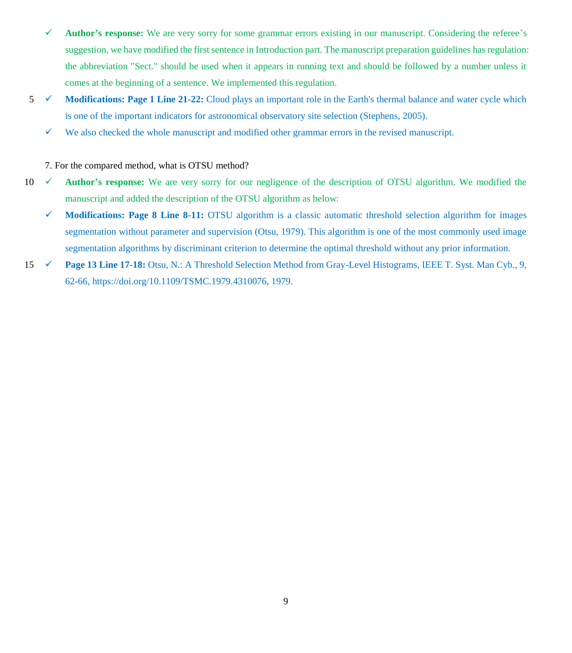- ✓ **Author's response:** We are very sorry for some grammar errors existing in our manuscript. Considering the referee's suggestion, we have modified the first sentence in Introduction part. The manuscript preparation guidelines has regulation: the abbreviation "Sect." should be used when it appears in running text and should be followed by a number unless it comes at the beginning of a sentence. We implemented this regulation.
- 5  $\checkmark$  **Modifications: Page 1 Line 21-22:** Cloud plays an important role in the Earth's thermal balance and water cycle which is one of the important indicators for astronomical observatory site selection (Stephens, 2005).
	- $\checkmark$  We also checked the whole manuscript and modified other grammar errors in the revised manuscript.

## 7. For the compared method, what is OTSU method?

- 10 ✓ **Author's response:** We are very sorry for our negligence of the description of OTSU algorithm. We modified the manuscript and added the description of the OTSU algorithm as below:
	- ✓ **Modifications: Page 8 Line 8-11:** OTSU algorithm is a classic automatic threshold selection algorithm for images segmentation without parameter and supervision (Otsu, 1979). This algorithm is one of the most commonly used image segmentation algorithms by discriminant criterion to determine the optimal threshold without any prior information.
- 15 ✓ **Page 13 Line 17-18:** Otsu, N.: A Threshold Selection Method from Gray-Level Histograms, IEEE T. Syst. Man Cyb., 9, 62-66, https://doi.org/10.1109/TSMC.1979.4310076, 1979.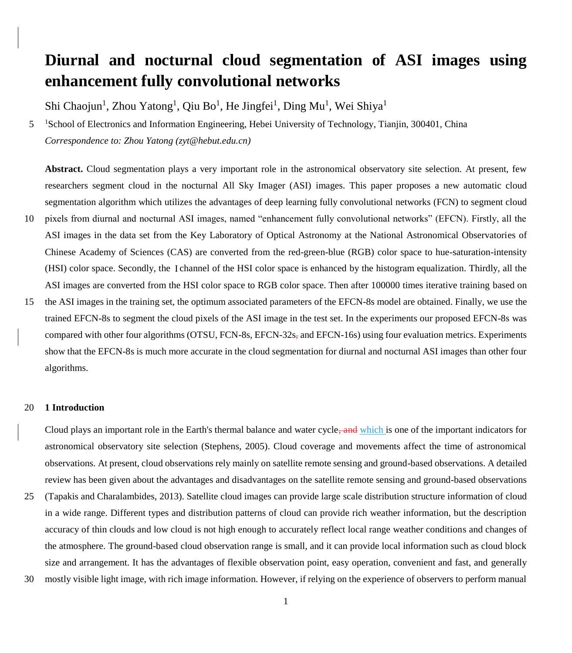# **Diurnal and nocturnal cloud segmentation of ASI images using enhancement fully convolutional networks**

Shi Chaojun<sup>1</sup>, Zhou Yatong<sup>1</sup>, Qiu Bo<sup>1</sup>, He Jingfei<sup>1</sup>, Ding Mu<sup>1</sup>, Wei Shiya<sup>1</sup>

<sup>1</sup> 5 School of Electronics and Information Engineering, Hebei University of Technology, Tianjin, 300401, China *Correspondence to: Zhou Yatong [\(zyt@hebut.edu.cn\)](mailto:zyt@hebut.edu.cn)*

**Abstract.** Cloud segmentation plays a very important role in the astronomical observatory site selection. At present, few researchers segment cloud in the nocturnal All Sky Imager (ASI) images. This paper proposes a new automatic cloud segmentation algorithm which utilizes the advantages of deep learning fully convolutional networks (FCN) to segment cloud

- 10 pixels from diurnal and nocturnal ASI images, named "enhancement fully convolutional networks" (EFCN). Firstly, all the ASI images in the data set from the Key Laboratory of Optical Astronomy at the National Astronomical Observatories of Chinese Academy of Sciences (CAS) are converted from the red-green-blue (RGB) color space to hue-saturation-intensity (HSI) color space. Secondly, the I channel of the HSI color space is enhanced by the histogram equalization. Thirdly, all the ASI images are converted from the HSI color space to RGB color space. Then after 100000 times iterative training based on
- 15 the ASI images in the training set, the optimum associated parameters of the EFCN-8s model are obtained. Finally, we use the trained EFCN-8s to segment the cloud pixels of the ASI image in the test set. In the experiments our proposed EFCN-8s was compared with other four algorithms (OTSU, FCN-8s, EFCN-32s, and EFCN-16s) using four evaluation metrics. Experiments show that the EFCN-8s is much more accurate in the cloud segmentation for diurnal and nocturnal ASI images than other four algorithms.

## 20 **1 Introduction**

Cloud plays an important role in the Earth's thermal balance and water cycle<del>, and</del> which is one of the important indicators for astronomical observatory site selection (Stephens, 2005). Cloud coverage and movements affect the time of astronomical observations. At present, cloud observations rely mainly on satellite remote sensing and ground-based observations. A detailed review has been given about the advantages and disadvantages on the satellite remote sensing and ground-based observations

- 25 (Tapakis and Charalambides, 2013). Satellite cloud images can provide large scale distribution structure information of cloud in a wide range. Different types and distribution patterns of cloud can provide rich weather information, but the description accuracy of thin clouds and low cloud is not high enough to accurately reflect local range weather conditions and changes of the atmosphere. The ground-based cloud observation range is small, and it can provide local information such as cloud block size and arrangement. It has the advantages of flexible observation point, easy operation, convenient and fast, and generally
- 30 mostly visible light image, with rich image information. However, if relying on the experience of observers to perform manual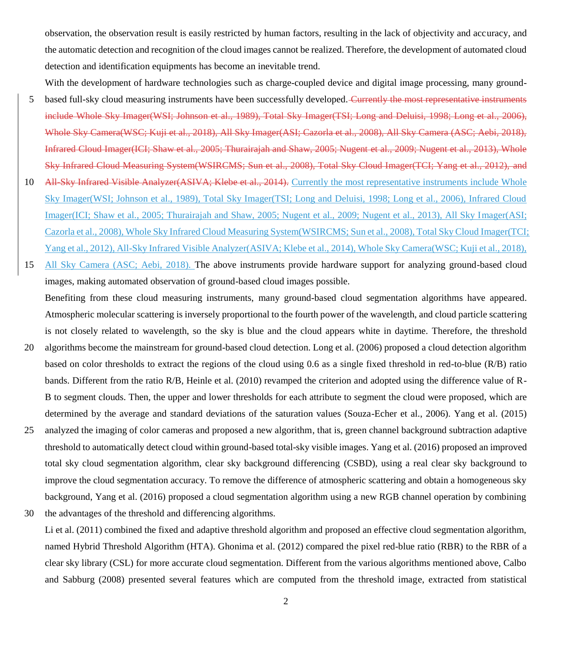observation, the observation result is easily restricted by human factors, resulting in the lack of objectivity and accuracy, and the automatic detection and recognition of the cloud images cannot be realized. Therefore, the development of automated cloud detection and identification equipments has become an inevitable trend.

With the development of hardware technologies such as charge-coupled device and digital image processing, many ground-

- 5 based full-sky cloud measuring instruments have been successfully developed. Currently the most representative instruments include Whole Sky Imager(WSI; Johnson et al., 1989), Total Sky Imager(TSI; Long and Deluisi, 1998; Long et al., 2006), Whole Sky Camera(WSC; Kuji et al., 2018), All Sky Imager(ASI; Cazorla et al., 2008), All Sky Camera (ASC; Aebi, 2018), ared Cloud Imager(ICI; Shaw et al., 2005; Thurairajah and Shaw, 2005; Nugent et al., 2009; Nugent et al., 2013), Whole Sky Infrared Cloud Measuring System(WSIRCMS; Sun et al., 2008), Total Sky Cloud Imager(TCI; Yang et al., 2012), and
- 10 All-Sky Infrared Visible Analyzer(ASIVA; Klebe et al., 2014). Currently the most representative instruments include Whole Sky Imager(WSI; Johnson et al., 1989), Total Sky Imager(TSI; Long and Deluisi, 1998; Long et al., 2006), Infrared Cloud Imager(ICI; Shaw et al., 2005; Thurairajah and Shaw, 2005; Nugent et al., 2009; Nugent et al., 2013), All Sky Imager(ASI; Cazorla et al., 2008), Whole Sky Infrared Cloud Measuring System(WSIRCMS; Sun et al., 2008), Total Sky Cloud Imager(TCI; Yang et al., 2012), All-Sky Infrared Visible Analyzer(ASIVA; Klebe et al., 2014), Whole Sky Camera(WSC; Kuji et al., 2018),
- 15 All Sky Camera (ASC; Aebi, 2018). The above instruments provide hardware support for analyzing ground-based cloud images, making automated observation of ground-based cloud images possible.

Benefiting from these cloud measuring instruments, many ground-based cloud segmentation algorithms have appeared. Atmospheric molecular scattering is inversely proportional to the fourth power of the wavelength, and cloud particle scattering is not closely related to wavelength, so the sky is blue and the cloud appears white in daytime. Therefore, the threshold

- 20 algorithms become the mainstream for ground-based cloud detection. Long et al. (2006) proposed a cloud detection algorithm based on color thresholds to extract the regions of the cloud using 0.6 as a single fixed threshold in red-to-blue (R/B) ratio bands. Different from the ratio R/B, Heinle et al. (2010) revamped the criterion and adopted using the difference value of R-B to segment clouds. Then, the upper and lower thresholds for each attribute to segment the cloud were proposed, which are determined by the average and standard deviations of the saturation values (Souza-Echer et al., 2006). Yang et al. (2015)
- 25 analyzed the imaging of color cameras and proposed a new algorithm, that is, green channel background subtraction adaptive threshold to automatically detect cloud within ground-based total-sky visible images. Yang et al. (2016) proposed an improved total sky cloud segmentation algorithm, clear sky background differencing (CSBD), using a real clear sky background to improve the cloud segmentation accuracy. To remove the difference of atmospheric scattering and obtain a homogeneous sky background, Yang et al. (2016) proposed a cloud segmentation algorithm using a new RGB channel operation by combining
- 30 the advantages of the threshold and differencing algorithms.

Li et al. (2011) combined the fixed and adaptive threshold algorithm and proposed an effective cloud segmentation algorithm, named Hybrid Threshold Algorithm (HTA). Ghonima et al. (2012) compared the pixel red-blue ratio (RBR) to the RBR of a clear sky library (CSL) for more accurate cloud segmentation. Different from the various algorithms mentioned above, Calbo and Sabburg (2008) presented several features which are computed from the threshold image, extracted from statistical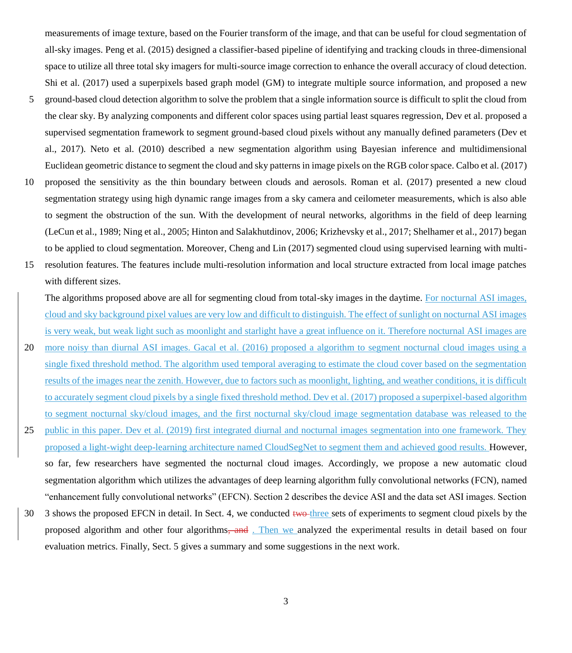measurements of image texture, based on the Fourier transform of the image, and that can be useful for cloud segmentation of all-sky images. Peng et al. (2015) designed a classifier-based pipeline of identifying and tracking clouds in three-dimensional space to utilize all three total sky imagers for multi-source image correction to enhance the overall accuracy of cloud detection. Shi et al. (2017) used a superpixels based graph model (GM) to integrate multiple source information, and proposed a new

- 5 ground-based cloud detection algorithm to solve the problem that a single information source is difficult to split the cloud from the clear sky. By analyzing components and different color spaces using partial least squares regression, Dev et al. proposed a supervised segmentation framework to segment ground-based cloud pixels without any manually defined parameters (Dev et al., 2017). Neto et al. (2010) described a new segmentation algorithm using Bayesian inference and multidimensional Euclidean geometric distance to segment the cloud and sky patterns in image pixels on the RGB color space. Calbo et al. (2017)
- 10 proposed the sensitivity as the thin boundary between clouds and aerosols. Roman et al. (2017) presented a new cloud segmentation strategy using high dynamic range images from a sky camera and ceilometer measurements, which is also able to segment the obstruction of the sun. With the development of neural networks, algorithms in the field of deep learning (LeCun et al., 1989; Ning et al., 2005; Hinton and Salakhutdinov, 2006; Krizhevsky et al., 2017; Shelhamer et al., 2017) began to be applied to cloud segmentation. Moreover, Cheng and Lin (2017) segmented cloud using supervised learning with multi-
- 15 resolution features. The features include multi-resolution information and local structure extracted from local image patches with different sizes.

The algorithms proposed above are all for segmenting cloud from total-sky images in the daytime. For nocturnal ASI images, cloud and sky background pixel values are very low and difficult to distinguish. The effect of sunlight on nocturnal ASI images is very weak, but weak light such as moonlight and starlight have a great influence on it. Therefore nocturnal ASI images are

- 20 more noisy than diurnal ASI images. Gacal et al. (2016) proposed a algorithm to segment nocturnal cloud images using a single fixed threshold method. The algorithm used temporal averaging to estimate the cloud cover based on the segmentation results of the images near the zenith. However, due to factors such as moonlight, lighting, and weather conditions, it is difficult to accurately segment cloud pixels by a single fixed threshold method. Dev et al. (2017) proposed a superpixel-based algorithm to segment nocturnal sky/cloud images, and the first nocturnal sky/cloud image segmentation database was released to the
- 25 public in this paper. Dev et al. (2019) first integrated diurnal and nocturnal images segmentation into one framework. They proposed a light-wight deep-learning architecture named CloudSegNet to segment them and achieved good results. However, so far, few researchers have segmented the nocturnal cloud images. Accordingly, we propose a new automatic cloud segmentation algorithm which utilizes the advantages of deep learning algorithm fully convolutional networks (FCN), named "enhancement fully convolutional networks" (EFCN). Section 2 describes the device ASI and the data set ASI images. Section
- 30 3 shows the proposed EFCN in detail. In Sect. 4, we conducted two three sets of experiments to segment cloud pixels by the proposed algorithm and other four algorithms, and . Then we analyzed the experimental results in detail based on four evaluation metrics. Finally, Sect. 5 gives a summary and some suggestions in the next work.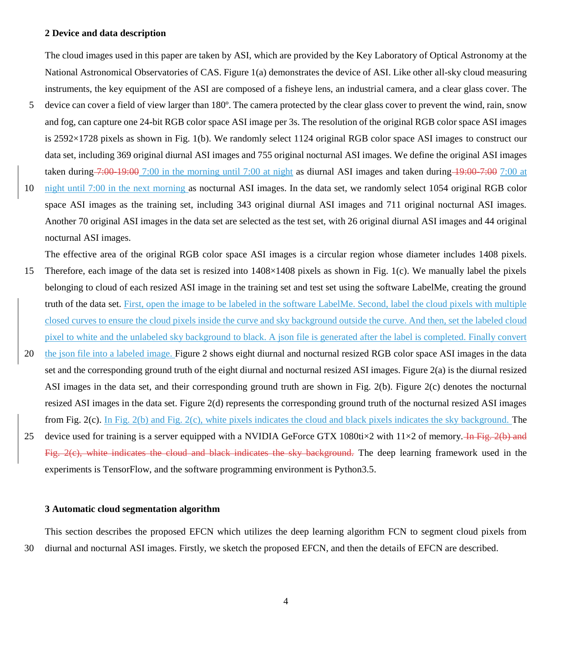## **2 Device and data description**

The cloud images used in this paper are taken by ASI, which are provided by the Key Laboratory of Optical Astronomy at the National Astronomical Observatories of CAS. Figure 1(a) demonstrates the device of ASI. Like other all-sky cloud measuring instruments, the key equipment of the ASI are composed of a fisheye lens, an industrial camera, and a clear glass cover. The

- 5 device can cover a field of view larger than 180º. The camera protected by the clear glass cover to prevent the wind, rain, snow and fog, can capture one 24-bit RGB color space ASI image per 3s. The resolution of the original RGB color space ASI images is 2592×1728 pixels as shown in Fig. 1(b). We randomly select 1124 original RGB color space ASI images to construct our data set, including 369 original diurnal ASI images and 755 original nocturnal ASI images. We define the original ASI images taken during  $7:00-19:00-7:00$  in the morning until 7:00 at night as diurnal ASI images and taken during  $19:00-7:00-7:00$  at
- 10 night until 7:00 in the next morning as nocturnal ASI images. In the data set, we randomly select 1054 original RGB color space ASI images as the training set, including 343 original diurnal ASI images and 711 original nocturnal ASI images. Another 70 original ASI images in the data set are selected as the test set, with 26 original diurnal ASI images and 44 original nocturnal ASI images.

The effective area of the original RGB color space ASI images is a circular region whose diameter includes 1408 pixels.

- 15 Therefore, each image of the data set is resized into 1408×1408 pixels as shown in Fig. 1(c). We manually label the pixels belonging to cloud of each resized ASI image in the training set and test set using the software LabelMe, creating the ground truth of the data set. First, open the image to be labeled in the software LabelMe. Second, label the cloud pixels with multiple closed curves to ensure the cloud pixels inside the curve and sky background outside the curve. And then, set the labeled cloud pixel to white and the unlabeled sky background to black. A json file is generated after the label is completed. Finally convert
- 20 the json file into a labeled image. Figure 2 shows eight diurnal and nocturnal resized RGB color space ASI images in the data set and the corresponding ground truth of the eight diurnal and nocturnal resized ASI images. Figure 2(a) is the diurnal resized ASI images in the data set, and their corresponding ground truth are shown in Fig. 2(b). Figure 2(c) denotes the nocturnal resized ASI images in the data set. Figure 2(d) represents the corresponding ground truth of the nocturnal resized ASI images from Fig. 2(c). In Fig. 2(b) and Fig. 2(c), white pixels indicates the cloud and black pixels indicates the sky background. The
- 25 device used for training is a server equipped with a NVIDIA GeForce GTX 1080ti $\times$ 2 with 11 $\times$ 2 of memory. In Fig. 2(b) and Fig. 2(c), white indicates the cloud and black indicates the sky background. The deep learning framework used in the experiments is TensorFlow, and the software programming environment is Python3.5.

## **3 Automatic cloud segmentation algorithm**

This section describes the proposed EFCN which utilizes the deep learning algorithm FCN to segment cloud pixels from 30 diurnal and nocturnal ASI images. Firstly, we sketch the proposed EFCN, and then the details of EFCN are described.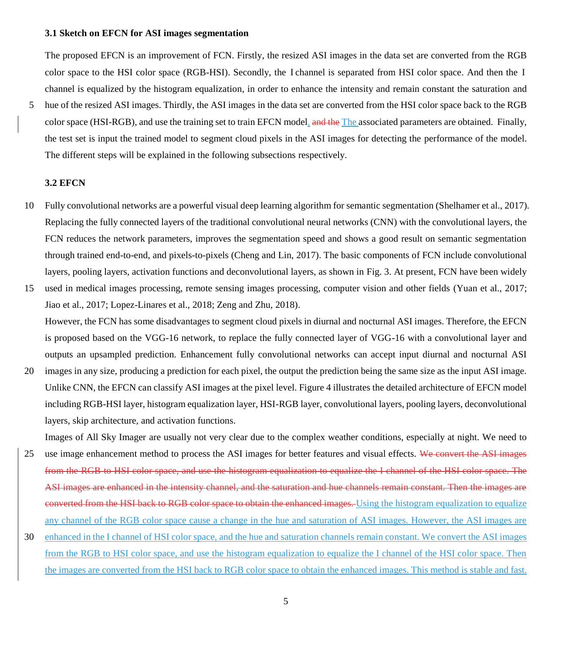#### **3.1 Sketch on EFCN for ASI images segmentation**

The proposed EFCN is an improvement of FCN. Firstly, the resized ASI images in the data set are converted from the RGB color space to the HSI color space (RGB-HSI). Secondly, the I channel is separated from HSI color space. And then the I channel is equalized by the histogram equalization, in order to enhance the intensity and remain constant the saturation and

5 hue of the resized ASI images. Thirdly, the ASI images in the data set are converted from the HSI color space back to the RGB color space (HSI-RGB), and use the training set to train EFCN model. and the The associated parameters are obtained. Finally, the test set is input the trained model to segment cloud pixels in the ASI images for detecting the performance of the model. The different steps will be explained in the following subsections respectively.

### **3.2 EFCN**

- 10 Fully convolutional networks are a powerful visual deep learning algorithm for semantic segmentation (Shelhamer et al., 2017). Replacing the fully connected layers of the traditional convolutional neural networks (CNN) with the convolutional layers, the FCN reduces the network parameters, improves the segmentation speed and shows a good result on semantic segmentation through trained end-to-end, and pixels-to-pixels (Cheng and Lin, 2017). The basic components of FCN include convolutional layers, pooling layers, activation functions and deconvolutional layers, as shown in Fig. 3. At present, FCN have been widely
- 15 used in medical images processing, remote sensing images processing, computer vision and other fields (Yuan et al., 2017; Jiao et al., 2017; Lopez-Linares et al., 2018; Zeng and Zhu, 2018).
	- However, the FCN has some disadvantages to segment cloud pixels in diurnal and nocturnal ASI images. Therefore, the EFCN is proposed based on the VGG-16 network, to replace the fully connected layer of VGG-16 with a convolutional layer and outputs an upsampled prediction. Enhancement fully convolutional networks can accept input diurnal and nocturnal ASI
- 20 images in any size, producing a prediction for each pixel, the output the prediction being the same size as the input ASI image. Unlike CNN, the EFCN can classify ASI images at the pixel level. Figure 4 illustrates the detailed architecture of EFCN model including RGB-HSI layer, histogram equalization layer, HSI-RGB layer, convolutional layers, pooling layers, deconvolutional layers, skip architecture, and activation functions.
- Images of All Sky Imager are usually not very clear due to the complex weather conditions, especially at night. We need to 25 use image enhancement method to process the ASI images for better features and visual effects. We convert the ASI images from the RGB to HSI color space, and use the histogram equalization to equalize the I channel of the HSI color space. The ASI images are enhanced in the intensity channel, and the saturation and hue channels remain constant. Then the images are converted from the HSI back to RGB color space to obtain the enhanced images. Using the histogram equalization to equalize any channel of the RGB color space cause a change in the hue and saturation of ASI images. However, the ASI images are
- 30 enhanced in the I channel of HSI color space, and the hue and saturation channels remain constant. We convert the ASI images from the RGB to HSI color space, and use the histogram equalization to equalize the I channel of the HSI color space. Then the images are converted from the HSI back to RGB color space to obtain the enhanced images. This method is stable and fast.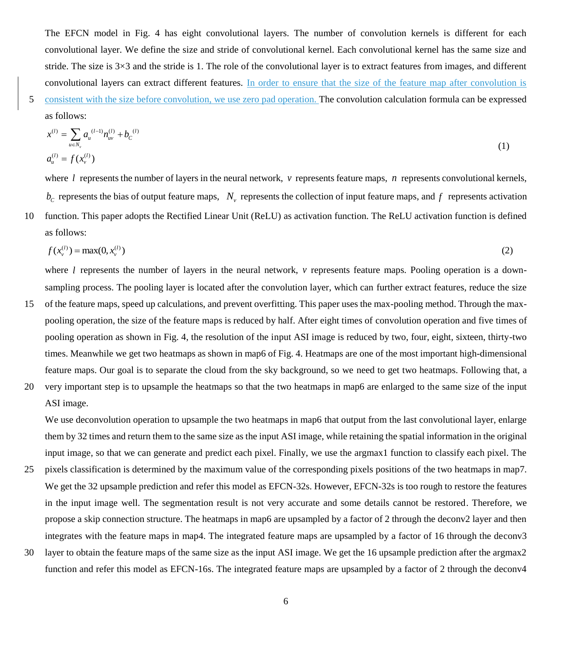The EFCN model in Fig. 4 has eight convolutional layers. The number of convolution kernels is different for each convolutional layer. We define the size and stride of convolutional kernel. Each convolutional kernel has the same size and stride. The size is 3×3 and the stride is 1. The role of the convolutional layer is to extract features from images, and different convolutional layers can extract different features. In order to ensure that the size of the feature map after convolution is

5 consistent with the size before convolution, we use zero pad operation. The convolution calculation formula can be expressed as follows:

$$
x^{(l)} = \sum_{u \in N_v} a_u^{(l-1)} n_{uv}^{(l)} + b_c^{(l)}
$$
  
\n
$$
a_u^{(l)} = f(x_v^{(l)})
$$
\n(1)

where  $l$  represents the number of layers in the neural network,  $v$  represents feature maps,  $n$  represents convolutional kernels,  $b_c$  represents the bias of output feature maps,  $N_v$  represents the collection of input feature maps, and  $f$  represents activation 10 function. This paper adopts the Rectified Linear Unit (ReLU) as activation function. The ReLU activation function is defined as follows:

$$
f(x_v^{(l)}) = \max(0, x_v^{(l)})
$$
 (2)

where *l* represents the number of layers in the neural network, *v* represents feature maps. Pooling operation is a downsampling process. The pooling layer is located after the convolution layer, which can further extract features, reduce the size

- 15 of the feature maps, speed up calculations, and prevent overfitting. This paper uses the max-pooling method. Through the maxpooling operation, the size of the feature maps is reduced by half. After eight times of convolution operation and five times of pooling operation as shown in Fig. 4, the resolution of the input ASI image is reduced by two, four, eight, sixteen, thirty-two times. Meanwhile we get two heatmaps as shown in map6 of Fig. 4. Heatmaps are one of the most important high-dimensional feature maps. Our goal is to separate the cloud from the sky background, so we need to get two heatmaps. Following that, a
- 20 very important step is to upsample the heatmaps so that the two heatmaps in map6 are enlarged to the same size of the input ASI image.

We use deconvolution operation to upsample the two heatmaps in map6 that output from the last convolutional layer, enlarge them by 32 times and return them to the same size as the input ASI image, while retaining the spatial information in the original input image, so that we can generate and predict each pixel. Finally, we use the argmax1 function to classify each pixel. The

- 25 pixels classification is determined by the maximum value of the corresponding pixels positions of the two heatmaps in map7. We get the 32 upsample prediction and refer this model as EFCN-32s. However, EFCN-32s is too rough to restore the features in the input image well. The segmentation result is not very accurate and some details cannot be restored. Therefore, we propose a skip connection structure. The heatmaps in map6 are upsampled by a factor of 2 through the deconv2 layer and then integrates with the feature maps in map4. The integrated feature maps are upsampled by a factor of 16 through the deconv3
- 30 layer to obtain the feature maps of the same size as the input ASI image. We get the 16 upsample prediction after the argmax2 function and refer this model as EFCN-16s. The integrated feature maps are upsampled by a factor of 2 through the deconv4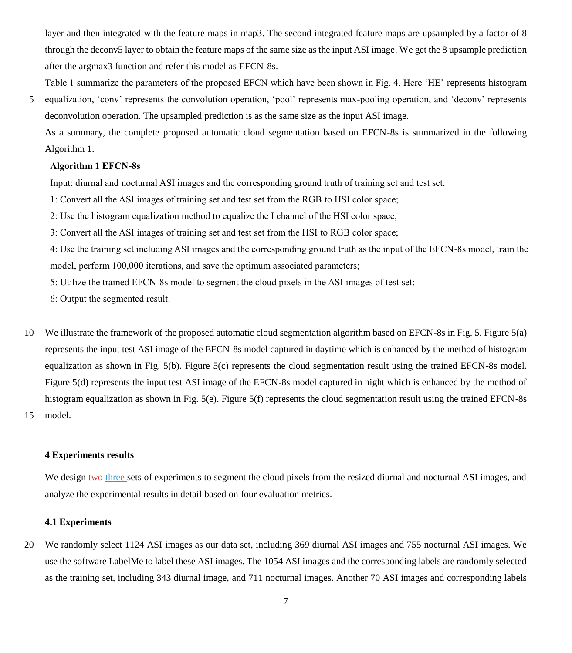layer and then integrated with the feature maps in map3. The second integrated feature maps are upsampled by a factor of 8 through the deconv5 layer to obtain the feature maps of the same size as the input ASI image. We get the 8 upsample prediction after the argmax3 function and refer this model as EFCN-8s.

Table 1 summarize the parameters of the proposed EFCN which have been shown in Fig. 4. Here 'HE' represents histogram

5 equalization, 'conv' represents the convolution operation, 'pool' represents max-pooling operation, and 'deconv' represents deconvolution operation. The upsampled prediction is as the same size as the input ASI image.

As a summary, the complete proposed automatic cloud segmentation based on EFCN-8s is summarized in the following Algorithm 1.

## **Algorithm 1 EFCN-8s**

Input: diurnal and nocturnal ASI images and the corresponding ground truth of training set and test set.

- 1: Convert all the ASI images of training set and test set from the RGB to HSI color space;
- 2: Use the histogram equalization method to equalize the I channel of the HSI color space;

3: Convert all the ASI images of training set and test set from the HSI to RGB color space;

4: Use the training set including ASI images and the corresponding ground truth as the input of the EFCN-8s model, train the model, perform 100,000 iterations, and save the optimum associated parameters;

5: Utilize the trained EFCN-8s model to segment the cloud pixels in the ASI images of test set;

6: Output the segmented result.

10 We illustrate the framework of the proposed automatic cloud segmentation algorithm based on EFCN-8s in Fig. 5. Figure 5(a) represents the input test ASI image of the EFCN-8s model captured in daytime which is enhanced by the method of histogram equalization as shown in Fig. 5(b). Figure 5(c) represents the cloud segmentation result using the trained EFCN-8s model. Figure 5(d) represents the input test ASI image of the EFCN-8s model captured in night which is enhanced by the method of histogram equalization as shown in Fig. 5(e). Figure 5(f) represents the cloud segmentation result using the trained EFCN-8s 15 model.

#### **4 Experiments results**

We design two three sets of experiments to segment the cloud pixels from the resized diurnal and nocturnal ASI images, and analyze the experimental results in detail based on four evaluation metrics.

#### **4.1 Experiments**

20 We randomly select 1124 ASI images as our data set, including 369 diurnal ASI images and 755 nocturnal ASI images. We use the software LabelMe to label these ASI images. The 1054 ASI images and the corresponding labels are randomly selected as the training set, including 343 diurnal image, and 711 nocturnal images. Another 70 ASI images and corresponding labels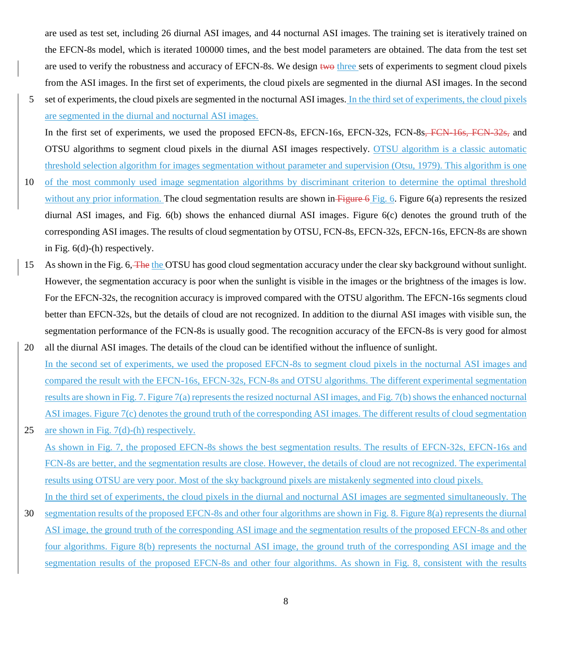are used as test set, including 26 diurnal ASI images, and 44 nocturnal ASI images. The training set is iteratively trained on the EFCN-8s model, which is iterated 100000 times, and the best model parameters are obtained. The data from the test set are used to verify the robustness and accuracy of EFCN-8s. We design two three sets of experiments to segment cloud pixels from the ASI images. In the first set of experiments, the cloud pixels are segmented in the diurnal ASI images. In the second

5 set of experiments, the cloud pixels are segmented in the nocturnal ASI images. In the third set of experiments, the cloud pixels are segmented in the diurnal and nocturnal ASI images.

In the first set of experiments, we used the proposed EFCN-8s, EFCN-16s, EFCN-32s, FCN-8s<del>, FCN 16s, FCN 32s,</del> and OTSU algorithms to segment cloud pixels in the diurnal ASI images respectively. OTSU algorithm is a classic automatic threshold selection algorithm for images segmentation without parameter and supervision (Otsu, 1979). This algorithm is one

- 10 of the most commonly used image segmentation algorithms by discriminant criterion to determine the optimal threshold without any prior information. The cloud segmentation results are shown in Figure 6 Fig. 6. Figure 6(a) represents the resized diurnal ASI images, and Fig. 6(b) shows the enhanced diurnal ASI images. Figure 6(c) denotes the ground truth of the corresponding ASI images. The results of cloud segmentation by OTSU, FCN-8s, EFCN-32s, EFCN-16s, EFCN-8s are shown in Fig. 6(d)-(h) respectively.
- 15 As shown in the Fig. 6, The the OTSU has good cloud segmentation accuracy under the clear sky background without sunlight. However, the segmentation accuracy is poor when the sunlight is visible in the images or the brightness of the images is low. For the EFCN-32s, the recognition accuracy is improved compared with the OTSU algorithm. The EFCN-16s segments cloud better than EFCN-32s, but the details of cloud are not recognized. In addition to the diurnal ASI images with visible sun, the segmentation performance of the FCN-8s is usually good. The recognition accuracy of the EFCN-8s is very good for almost
- 20 all the diurnal ASI images. The details of the cloud can be identified without the influence of sunlight. In the second set of experiments, we used the proposed EFCN-8s to segment cloud pixels in the nocturnal ASI images and compared the result with the EFCN-16s, EFCN-32s, FCN-8s and OTSU algorithms. The different experimental segmentation results are shown in Fig. 7. Figure 7(a) represents the resized nocturnal ASI images, and Fig. 7(b) shows the enhanced nocturnal ASI images. Figure 7(c) denotes the ground truth of the corresponding ASI images. The different results of cloud segmentation
- 25 are shown in Fig. 7(d)-(h) respectively. As shown in Fig. 7, the proposed EFCN-8s shows the best segmentation results. The results of EFCN-32s, EFCN-16s and FCN-8s are better, and the segmentation results are close. However, the details of cloud are not recognized. The experimental results using OTSU are very poor. Most of the sky background pixels are mistakenly segmented into cloud pixels. In the third set of experiments, the cloud pixels in the diurnal and nocturnal ASI images are segmented simultaneously. The
- 30 segmentation results of the proposed EFCN-8s and other four algorithms are shown in Fig. 8. Figure 8(a) represents the diurnal ASI image, the ground truth of the corresponding ASI image and the segmentation results of the proposed EFCN-8s and other four algorithms. Figure 8(b) represents the nocturnal ASI image, the ground truth of the corresponding ASI image and the segmentation results of the proposed EFCN-8s and other four algorithms. As shown in Fig. 8, consistent with the results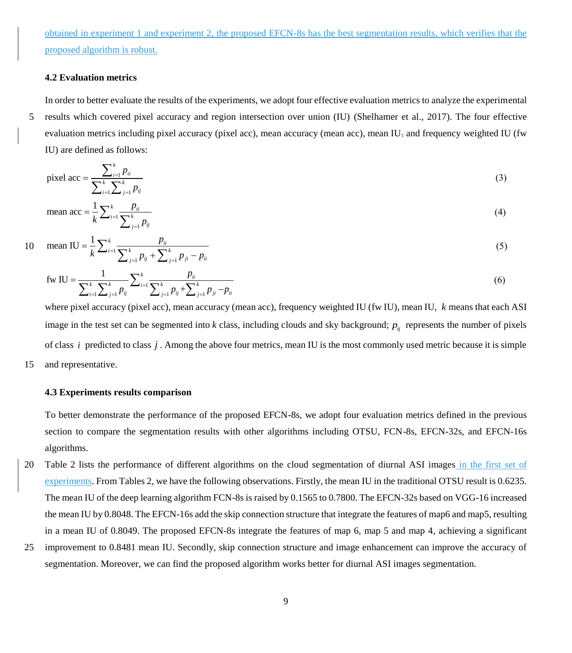obtained in experiment 1 and experiment 2, the proposed EFCN-8s has the best segmentation results, which verifies that the proposed algorithm is robust.

## **4.2 Evaluation metrics**

In order to better evaluate the results of the experiments, we adopt four effective evaluation metrics to analyze the experimental 5 results which covered pixel accuracy and region intersection over union (IU) (Shelhamer et al., 2017). The four effective evaluation metrics including pixel accuracy (pixel acc), mean accuracy (mean acc), mean IU<sub>7</sub> and frequency weighted IU (fw IU) are defined as follows:

pixel acc = 
$$
\frac{\sum_{i=1}^{k} p_{ii}}{\sum_{i=1}^{k} \sum_{j=1}^{k} p_{ij}}
$$
 (3)

mean acc = 
$$
\frac{1}{k} \sum_{i=1}^{k} \frac{p_{ii}}{\sum_{j=1}^{k} p_{ij}}
$$
 (4)

10 mean IU = 
$$
\frac{1}{k} \sum_{i=1}^{k} \frac{p_{ii}}{\sum_{j=1}^{k} p_{ij} + \sum_{j=1}^{k} p_{ji} - p_{ii}}
$$
 (5)

$$
\text{fw IU} = \frac{1}{\sum_{i=1}^{k} \sum_{j=1}^{k} p_{ij}} \sum_{i=1}^{k} \frac{p_{ii}}{\sum_{j=1}^{k} p_{ij} + \sum_{j=1}^{k} p_{ji} - p_{ii}} \tag{6}
$$

where pixel accuracy (pixel acc), mean accuracy (mean acc), frequency weighted IU (fw IU), mean IU, *k* means that each ASI image in the test set can be segmented into *k* class, including clouds and sky background;  $p_{ij}$  represents the number of pixels of class *i* predicted to class *j* . Among the above four metrics, mean IU is the most commonly used metric because it is simple 15 and representative.

#### **4.3 Experiments results comparison**

To better demonstrate the performance of the proposed EFCN-8s, we adopt four evaluation metrics defined in the previous section to compare the segmentation results with other algorithms including OTSU, FCN-8s, EFCN-32s, and EFCN-16s algorithms.

- 20 Table 2 lists the performance of different algorithms on the cloud segmentation of diurnal ASI images in the first set of experiments. From Tables 2, we have the following observations. Firstly, the mean IU in the traditional OTSU result is 0.6235. The mean IU of the deep learning algorithm FCN-8s is raised by 0.1565 to 0.7800. The EFCN-32s based on VGG-16 increased the mean IU by 0.8048. The EFCN-16s add the skip connection structure that integrate the features of map6 and map5, resulting in a mean IU of 0.8049. The proposed EFCN-8s integrate the features of map 6, map 5 and map 4, achieving a significant
- 25 improvement to 0.8481 mean IU. Secondly, skip connection structure and image enhancement can improve the accuracy of segmentation. Moreover, we can find the proposed algorithm works better for diurnal ASI images segmentation.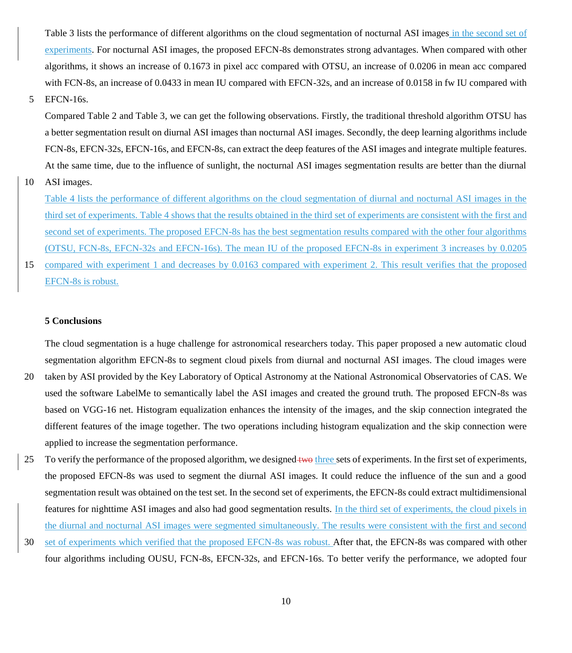Table 3 lists the performance of different algorithms on the cloud segmentation of nocturnal ASI images in the second set of experiments. For nocturnal ASI images, the proposed EFCN-8s demonstrates strong advantages. When compared with other algorithms, it shows an increase of 0.1673 in pixel acc compared with OTSU, an increase of 0.0206 in mean acc compared with FCN-8s, an increase of 0.0433 in mean IU compared with EFCN-32s, and an increase of 0.0158 in fw IU compared with

5 EFCN-16s.

Compared Table 2 and Table 3, we can get the following observations. Firstly, the traditional threshold algorithm OTSU has a better segmentation result on diurnal ASI images than nocturnal ASI images. Secondly, the deep learning algorithms include FCN-8s, EFCN-32s, EFCN-16s, and EFCN-8s, can extract the deep features of the ASI images and integrate multiple features. At the same time, due to the influence of sunlight, the nocturnal ASI images segmentation results are better than the diurnal

10 ASI images.

Table 4 lists the performance of different algorithms on the cloud segmentation of diurnal and nocturnal ASI images in the third set of experiments. Table 4 shows that the results obtained in the third set of experiments are consistent with the first and second set of experiments. The proposed EFCN-8s has the best segmentation results compared with the other four algorithms (OTSU, FCN-8s, EFCN-32s and EFCN-16s). The mean IU of the proposed EFCN-8s in experiment 3 increases by 0.0205

15 compared with experiment 1 and decreases by 0.0163 compared with experiment 2. This result verifies that the proposed EFCN-8s is robust.

## **5 Conclusions**

The cloud segmentation is a huge challenge for astronomical researchers today. This paper proposed a new automatic cloud segmentation algorithm EFCN-8s to segment cloud pixels from diurnal and nocturnal ASI images. The cloud images were

- 20 taken by ASI provided by the Key Laboratory of Optical Astronomy at the National Astronomical Observatories of CAS. We used the software LabelMe to semantically label the ASI images and created the ground truth. The proposed EFCN-8s was based on VGG-16 net. Histogram equalization enhances the intensity of the images, and the skip connection integrated the different features of the image together. The two operations including histogram equalization and the skip connection were applied to increase the segmentation performance.
- 25 To verify the performance of the proposed algorithm, we designed two three sets of experiments. In the first set of experiments, the proposed EFCN-8s was used to segment the diurnal ASI images. It could reduce the influence of the sun and a good segmentation result was obtained on the test set. In the second set of experiments, the EFCN-8s could extract multidimensional features for nighttime ASI images and also had good segmentation results. In the third set of experiments, the cloud pixels in the diurnal and nocturnal ASI images were segmented simultaneously. The results were consistent with the first and second
- 30 set of experiments which verified that the proposed EFCN-8s was robust. After that, the EFCN-8s was compared with other four algorithms including OUSU, FCN-8s, EFCN-32s, and EFCN-16s. To better verify the performance, we adopted four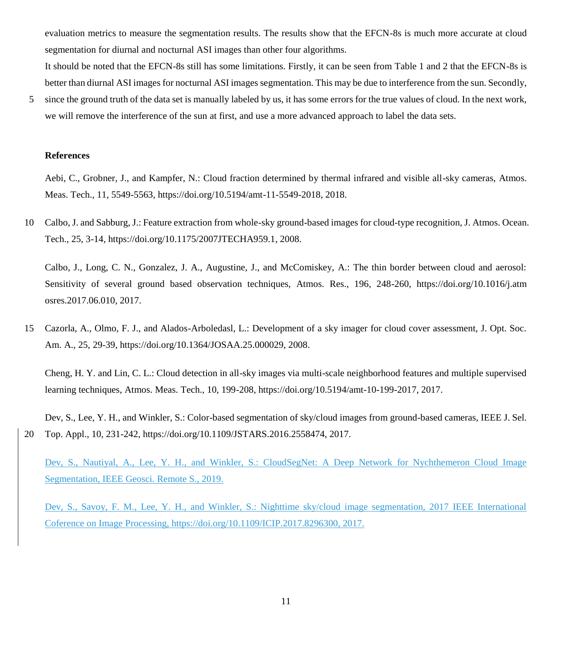evaluation metrics to measure the segmentation results. The results show that the EFCN-8s is much more accurate at cloud segmentation for diurnal and nocturnal ASI images than other four algorithms.

It should be noted that the EFCN-8s still has some limitations. Firstly, it can be seen from Table 1 and 2 that the EFCN-8s is better than diurnal ASI images for nocturnal ASI images segmentation. This may be due to interference from the sun. Secondly,

5 since the ground truth of the data set is manually labeled by us, it has some errors for the true values of cloud. In the next work, we will remove the interference of the sun at first, and use a more advanced approach to label the data sets.

## **References**

Aebi, C., Grobner, J., and Kampfer, N.: Cloud fraction determined by thermal infrared and visible all-sky cameras, Atmos. Meas. Tech., 11, 5549-5563, https://doi.org/10.5194/amt-11-5549-2018, 2018.

10 Calbo, J. and Sabburg, J.: Feature extraction from whole-sky ground-based images for cloud-type recognition, J. Atmos. Ocean. Tech., 25, 3-14, https://doi.org/10.1175/2007JTECHA959.1, 2008.

Calbo, J., Long, C. N., Gonzalez, J. A., Augustine, J., and McComiskey, A.: The thin border between cloud and aerosol: Sensitivity of several ground based observation techniques, Atmos. Res., 196, 248-260, https://doi.org/10.1016/j.atm osres.2017.06.010, 2017.

15 Cazorla, A., Olmo, F. J., and Alados-Arboledasl, L.: Development of a sky imager for cloud cover assessment, J. Opt. Soc. Am. A., 25, 29-39, https://doi.org/10.1364/JOSAA.25.000029, 2008.

Cheng, H. Y. and Lin, C. L.: Cloud detection in all-sky images via multi-scale neighborhood features and multiple supervised learning techniques, Atmos. Meas. Tech., 10, 199-208, https://doi.org/10.5194/amt-10-199-2017, 2017.

Dev, S., Lee, Y. H., and Winkler, S.: Color-based segmentation of sky/cloud images from ground-based cameras, IEEE J. Sel. 20 Top. Appl., 10, 231-242, https://doi.org/10.1109/JSTARS.2016.2558474, 2017.

Dev, S., Nautiyal, A., Lee, Y. H., and Winkler, S.: CloudSegNet: A Deep Network for Nychthemeron Cloud Image Segmentation, IEEE Geosci. Remote S., 2019.

Dev, S., Savoy, F. M., Lee, Y. H., and Winkler, S.: Nighttime sky/cloud image segmentation, 2017 IEEE International Coference on Image Processing, https://doi.org/10.1109/ICIP.2017.8296300, 2017.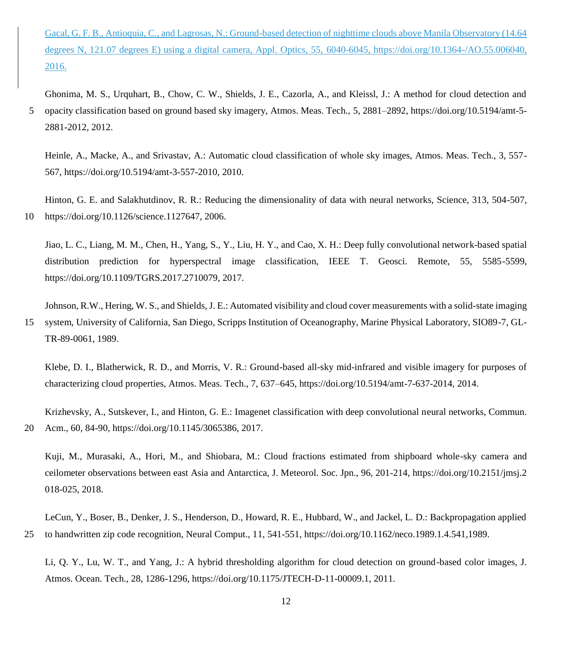Gacal, G. F. B., Antioquia, C., and Lagrosas, N.: Ground-based detection of nighttime clouds above Manila Observatory (14.64 degrees N, 121.07 degrees E) using a digital camera, Appl. Optics, 55, 6040-6045, https://doi.org/10.1364-/AO.55.006040, 2016.

Ghonima, M. S., Urquhart, B., Chow, C. W., Shields, J. E., Cazorla, A., and Kleissl, J.: A method for cloud detection and 5 opacity classification based on ground based sky imagery, Atmos. Meas. Tech., 5, 2881–2892, https://doi.org/10.5194/amt-5- 2881-2012, 2012.

Heinle, A., Macke, A., and Srivastav, A.: Automatic cloud classification of whole sky images, Atmos. Meas. Tech., 3, 557- 567, https://doi.org/10.5194/amt-3-557-2010, 2010.

Hinton, G. E. and Salakhutdinov, R. R.: Reducing the dimensionality of data with neural networks, Science, 313, 504-507, 10 https://doi.org/10.1126/science.1127647, 2006.

Jiao, L. C., Liang, M. M., Chen, H., Yang, S., Y., Liu, H. Y., and Cao, X. H.: Deep fully convolutional network-based spatial distribution prediction for hyperspectral image classification, IEEE T. Geosci. Remote, 55, 5585-5599, https://doi.org/10.1109/TGRS.2017.2710079, 2017.

Johnson, R.W., Hering, W. S., and Shields, J. E.: Automated visibility and cloud cover measurements with a solid-state imaging 15 system, University of California, San Diego, Scripps Institution of Oceanography, Marine Physical Laboratory, SIO89-7, GL-

TR-89-0061, 1989.

Klebe, D. I., Blatherwick, R. D., and Morris, V. R.: Ground-based all-sky mid-infrared and visible imagery for purposes of characterizing cloud properties, Atmos. Meas. Tech., 7, 637–645, https://doi.org/10.5194/amt-7-637-2014, 2014.

Krizhevsky, A., Sutskever, I., and Hinton, G. E.: Imagenet classification with deep convolutional neural networks, Commun. 20 Acm., 60, 84-90, https://doi.org/10.1145/3065386, 2017.

Kuji, M., Murasaki, A., Hori, M., and Shiobara, M.: Cloud fractions estimated from shipboard whole-sky camera and ceilometer observations between east Asia and Antarctica, J. Meteorol. Soc. Jpn., 96, 201-214, https://doi.org/10.2151/jmsj.2 018-025, 2018.

LeCun, Y., Boser, B., Denker, J. S., Henderson, D., Howard, R. E., Hubbard, W., and Jackel, L. D.: Backpropagation applied 25 to handwritten zip code recognition, Neural Comput., 11, 541-551, https://doi.org/10.1162/neco.1989.1.4.541,1989.

Li, Q. Y., Lu, W. T., and Yang, J.: A hybrid thresholding algorithm for cloud detection on ground-based color images, J. Atmos. Ocean. Tech., 28, 1286-1296, https://doi.org/10.1175/JTECH-D-11-00009.1, 2011.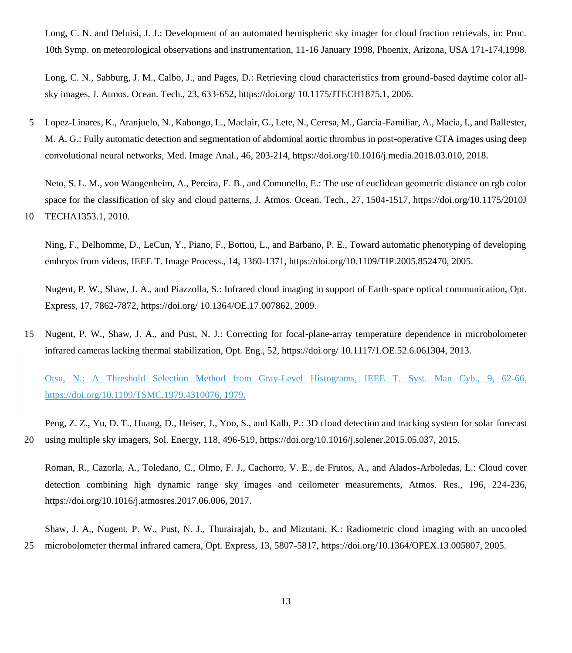Long, C. N. and Deluisi, J. J.: Development of an automated hemispheric sky imager for cloud fraction retrievals, in: Proc. 10th Symp. on meteorological observations and instrumentation, 11-16 January 1998, Phoenix, Arizona, USA 171-174,1998.

Long, C. N., Sabburg, J. M., Calbo, J., and Pages, D.: Retrieving cloud characteristics from ground-based daytime color allsky images, J. Atmos. Ocean. Tech., 23, 633-652, https://doi.org/ 10.1175/JTECH1875.1, 2006.

5 Lopez-Linares, K., Aranjuelo, N., Kabongo, L., Maclair, G., Lete, N., Ceresa, M., Garcia-Familiar, A., Macia, I., and Ballester, M. A. G.: Fully automatic detection and segmentation of abdominal aortic thrombus in post-operative CTA images using deep convolutional neural networks, Med. Image Anal., 46, 203-214, https://doi.org/10.1016/j.media.2018.03.010, 2018.

Neto, S. L. M., von Wangenheim, A., Pereira, E. B., and Comunello, E.: The use of euclidean geometric distance on rgb color space for the classification of sky and cloud patterns, J. Atmos. Ocean. Tech., 27, 1504-1517, https://doi.org/10.1175/2010J 10 TECHA1353.1, 2010.

Ning, F., Delhomme, D., LeCun, Y., Piano, F., Bottou, L., and Barbano, P. E., Toward automatic phenotyping of developing embryos from videos, IEEE T. Image Process., 14, 1360-1371, https://doi.org/10.1109/TIP.2005.852470, 2005.

Nugent, P. W., Shaw, J. A., and Piazzolla, S.: Infrared cloud imaging in support of Earth-space optical communication, Opt. Express, 17, 7862-7872, https://doi.org/ 10.1364/OE.17.007862, 2009.

15 Nugent, P. W., Shaw, J. A., and Pust, N. J.: Correcting for focal-plane-array temperature dependence in microbolometer infrared cameras lacking thermal stabilization, Opt. Eng., 52, https://doi.org/ 10.1117/1.OE.52.6.061304, 2013.

Otsu, N.: A Threshold Selection Method from Gray-Level Histograms, IEEE T. Syst. Man Cyb., 9, 62-66, https://doi.org/10.1109/TSMC.1979.4310076, 1979.

Peng, Z. Z., Yu, D. T., Huang, D., Heiser, J., Yoo, S., and Kalb, P.: 3D cloud detection and tracking system for solar forecast 20 using multiple sky imagers, Sol. Energy, 118, 496-519, https://doi.org/10.1016/j.solener.2015.05.037, 2015.

Roman, R., Cazorla, A., Toledano, C., Olmo, F. J., Cachorro, V. E., de Frutos, A., and Alados-Arboledas, L.: Cloud cover detection combining high dynamic range sky images and ceilometer measurements, Atmos. Res., 196, 224-236, https://doi.org/10.1016/j.atmosres.2017.06.006, 2017.

Shaw, J. A., Nugent, P. W., Pust, N. J., Thurairajah, b., and Mizutani, K.: Radiometric cloud imaging with an uncooled 25 microbolometer thermal infrared camera, Opt. Express, 13, 5807-5817, https://doi.org/10.1364/OPEX.13.005807, 2005.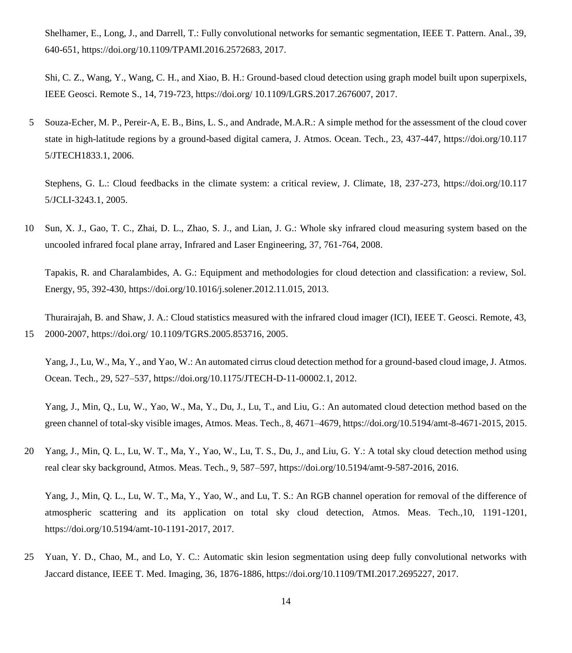Shelhamer, E., Long, J., and Darrell, T.: Fully convolutional networks for semantic segmentation, IEEE T. Pattern. Anal., 39, 640-651, https://doi.org/10.1109/TPAMI.2016.2572683, 2017.

Shi, C. Z., Wang, Y., Wang, C. H., and Xiao, B. H.: Ground-based cloud detection using graph model built upon superpixels, IEEE Geosci. Remote S., 14, 719-723, https://doi.org/ 10.1109/LGRS.2017.2676007, 2017.

5 Souza-Echer, M. P., Pereir-A, E. B., Bins, L. S., and Andrade, M.A.R.: A simple method for the assessment of the cloud cover state in high-latitude regions by a ground-based digital camera, J. Atmos. Ocean. Tech., 23, 437-447, https://doi.org/10.117 5/JTECH1833.1, 2006.

Stephens, G. L.: Cloud feedbacks in the climate system: a critical review, J. Climate, 18, 237-273, https://doi.org/10.117 5/JCLI-3243.1, 2005.

10 Sun, X. J., Gao, T. C., Zhai, D. L., Zhao, S. J., and Lian, J. G.: Whole sky infrared cloud measuring system based on the uncooled infrared focal plane array, Infrared and Laser Engineering, 37, 761-764, 2008.

Tapakis, R. and Charalambides, A. G.: Equipment and methodologies for cloud detection and classification: a review, Sol. Energy, 95, 392-430, https://doi.org/10.1016/j.solener.2012.11.015, 2013.

Thurairajah, B. and Shaw, J. A.: Cloud statistics measured with the infrared cloud imager (ICI), IEEE T. Geosci. Remote, 43, 15 2000-2007, https://doi.org/ 10.1109/TGRS.2005.853716, 2005.

Yang, J., Lu, W., Ma, Y., and Yao, W.: An automated cirrus cloud detection method for a ground-based cloud image, J. Atmos. Ocean. Tech., 29, 527–537, https://doi.org/10.1175/JTECH-D-11-00002.1, 2012.

Yang, J., Min, Q., Lu, W., Yao, W., Ma, Y., Du, J., Lu, T., and Liu, G.: An automated cloud detection method based on the green channel of total-sky visible images, Atmos. Meas. Tech., 8, 4671–4679, https://doi.org/10.5194/amt-8-4671-2015, 2015.

20 Yang, J., Min, Q. L., Lu, W. T., Ma, Y., Yao, W., Lu, T. S., Du, J., and Liu, G. Y.: A total sky cloud detection method using real clear sky background, Atmos. Meas. Tech., 9, 587–597, https://doi.org/10.5194/amt-9-587-2016, 2016.

Yang, J., Min, Q. L., Lu, W. T., Ma, Y., Yao, W., and Lu, T. S.: An RGB channel operation for removal of the difference of atmospheric scattering and its application on total sky cloud detection, Atmos. Meas. Tech.,10, 1191-1201, https://doi.org/10.5194/amt-10-1191-2017, 2017.

25 Yuan, Y. D., Chao, M., and Lo, Y. C.: Automatic skin lesion segmentation using deep fully convolutional networks with Jaccard distance, IEEE T. Med. Imaging, 36, 1876-1886, https://doi.org/10.1109/TMI.2017.2695227, 2017.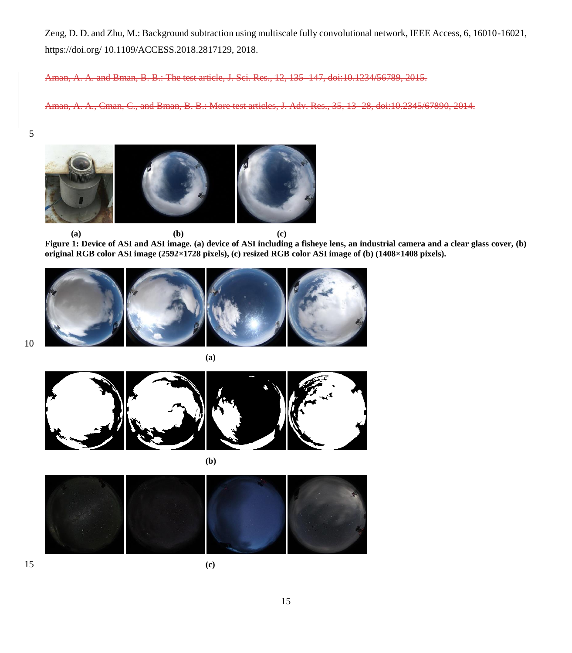Zeng, D. D. and Zhu, M.: Background subtraction using multiscale fully convolutional network, IEEE Access, 6, 16010-16021, https://doi.org/ 10.1109/ACCESS.2018.2817129, 2018.

Aman, A. A. and Bman, B. B.: The test article, J. Sci. Res., 12, 135–147, doi:10.1234/56789, 2015.

Aman, A. A., Cman, C., and Bman, B. B.: More test articles, J. Adv. Res., 35, 13–28, doi:10.2345/67890, 2014.

5



**(a) (b) (c) Figure 1: Device of ASI and ASI image. (a) device of ASI including a fisheye lens, an industrial camera and a clear glass cover, (b) original RGB color ASI image (2592×1728 pixels), (c) resized RGB color ASI image of (b) (1408×1408 pixels).**



10









15 **(c)**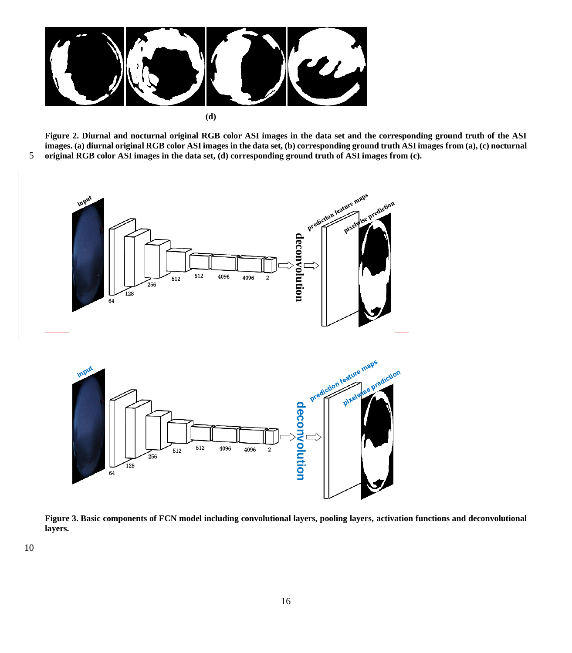

**Figure 2. Diurnal and nocturnal original RGB color ASI images in the data set and the corresponding ground truth of the ASI images. (a) diurnal original RGB color ASI images in the data set, (b) corresponding ground truth ASI images from (a), (c) nocturnal original RGB color ASI images in the data set, (d) corresponding ground truth of ASI images from (c).** 



**Figure 3. Basic components of FCN model including convolutional layers, pooling layers, activation functions and deconvolutional layers.**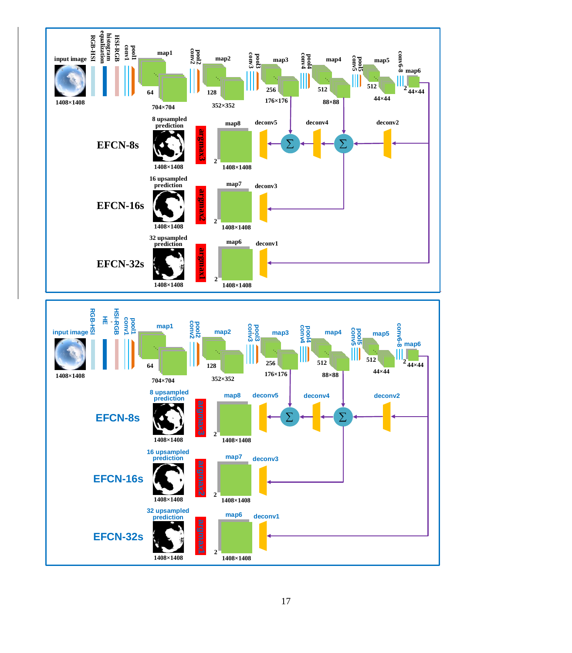

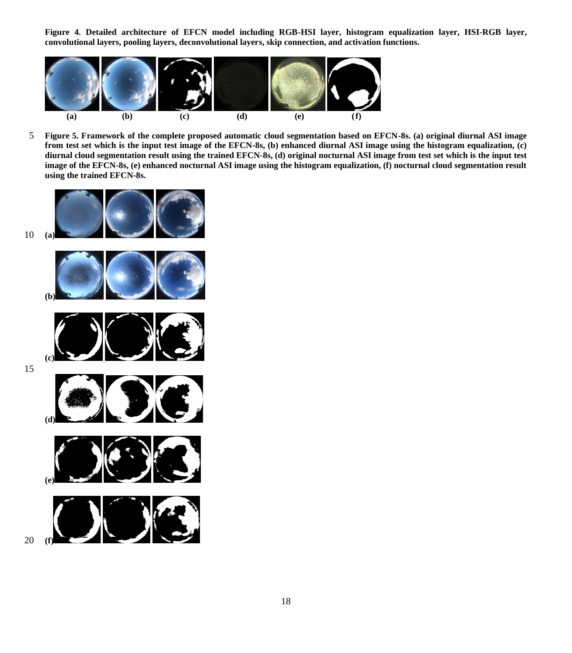**Figure 4. Detailed architecture of EFCN model including RGB-HSI layer, histogram equalization layer, HSI-RGB layer, convolutional layers, pooling layers, deconvolutional layers, skip connection, and activation functions.**



5 **Figure 5. Framework of the complete proposed automatic cloud segmentation based on EFCN-8s. (a) original diurnal ASI image from test set which is the input test image of the EFCN-8s, (b) enhanced diurnal ASI image using the histogram equalization, (c) diurnal cloud segmentation result using the trained EFCN-8s, (d) original nocturnal ASI image from test set which is the input test image of the EFCN-8s, (e) enhanced nocturnal ASI image using the histogram equalization, (f) nocturnal cloud segmentation result using the trained EFCN-8s.**

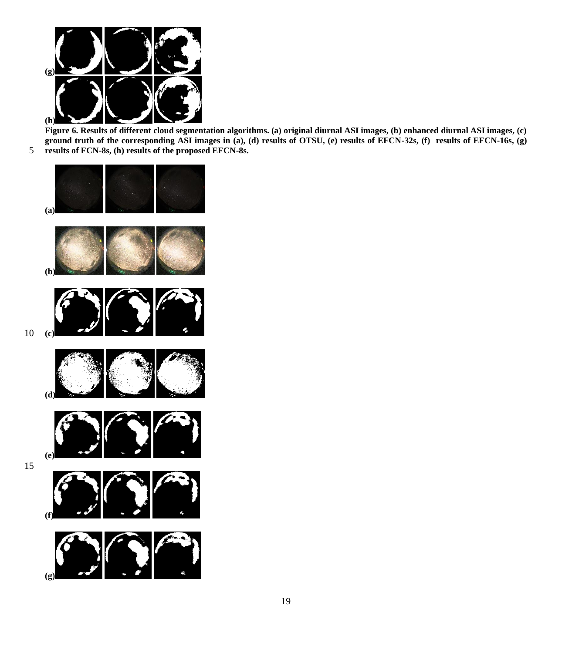

**Figure 6. Results of different cloud segmentation algorithms. (a) original diurnal ASI images, (b) enhanced diurnal ASI images, (c)**  ground truth of the corresponding ASI images in (a), (d) results of OTSU, (e) results of EFCN-32s, (f) results of EFCN-16s, (g) 5 **results of FCN-8s, (h) results of the proposed EFCN-8s.**

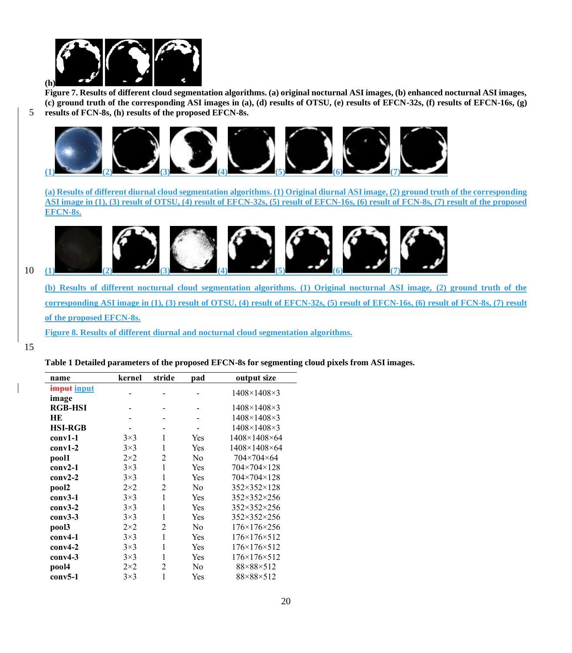

**Figure 7. Results of different cloud segmentation algorithms. (a) original nocturnal ASI images, (b) enhanced nocturnal ASI images, (c) ground truth of the corresponding ASI images in (a), (d) results of OTSU, (e) results of EFCN-32s, (f) results of EFCN-16s, (g)**  5 **results of FCN-8s, (h) results of the proposed EFCN-8s.** 



**(a) Results of different diurnal cloud segmentation algorithms. (1) Original diurnal ASI image, (2) ground truth of the corresponding ASI image in (1), (3) result of OTSU, (4) result of EFCN-32s, (5) result of EFCN-16s, (6) result of FCN-8s, (7) result of the proposed EFCN-8s.**



**(b) Results of different nocturnal cloud segmentation algorithms. (1) Original nocturnal ASI image, (2) ground truth of the corresponding ASI image in (1), (3) result of OTSU, (4) result of EFCN-32s, (5) result of EFCN-16s, (6) result of FCN-8s, (7) result of the proposed EFCN-8s.**

**Figure 8. Results of different diurnal and nocturnal cloud segmentation algorithms.**

15

**Table 1 Detailed parameters of the proposed EFCN-8s for segmenting cloud pixels from ASI images.**

| name           | kernel      | stride         | pad                      | output size                 |
|----------------|-------------|----------------|--------------------------|-----------------------------|
| imput input    |             |                |                          | $1408 \times 1408 \times 3$ |
| image          |             |                |                          |                             |
| <b>RGB-HSI</b> |             |                |                          | $1408 \times 1408 \times 3$ |
| HE             |             |                |                          | $1408 \times 1408 \times 3$ |
| <b>HSI-RGB</b> |             |                | $\overline{\phantom{0}}$ | $1408 \times 1408 \times 3$ |
| $conv1-1$      | $3\times3$  | 1              | Yes                      | 1408×1408×64                |
| $conv1-2$      | $3\times3$  | 1              | Yes                      | 1408×1408×64                |
| pool1          | $2\times2$  | $\overline{2}$ | No                       | 704×704×64                  |
| $conv2-1$      | $3\times3$  | $\mathbf{1}$   | Yes                      | 704×704×128                 |
| $conv2-2$      | $3\times3$  | 1              | Yes                      | 704×704×128                 |
| pool2          | $2\times 2$ | 2              | No                       | 352×352×128                 |
| $conv3-1$      | $3\times3$  | $\mathbf{1}$   | Yes                      | 352×352×256                 |
| $conv3-2$      | $3\times3$  | 1              | Yes                      | 352×352×256                 |
| $conv3-3$      | $3\times3$  | 1              | Yes                      | 352×352×256                 |
| pool3          | $2\times2$  | $\overline{2}$ | No                       | $176 \times 176 \times 256$ |
| $conv4-1$      | $3\times3$  | 1              | Yes                      | $176 \times 176 \times 512$ |
| $conv4-2$      | $3\times3$  | 1              | Yes                      | 176×176×512                 |
| $conv4-3$      | $3\times3$  | 1              | Yes                      | $176 \times 176 \times 512$ |
| pool4          | $2\times2$  | $\overline{2}$ | No                       | 88×88×512                   |
| conv5-1        | $3\times3$  | 1              | Yes                      | 88×88×512                   |